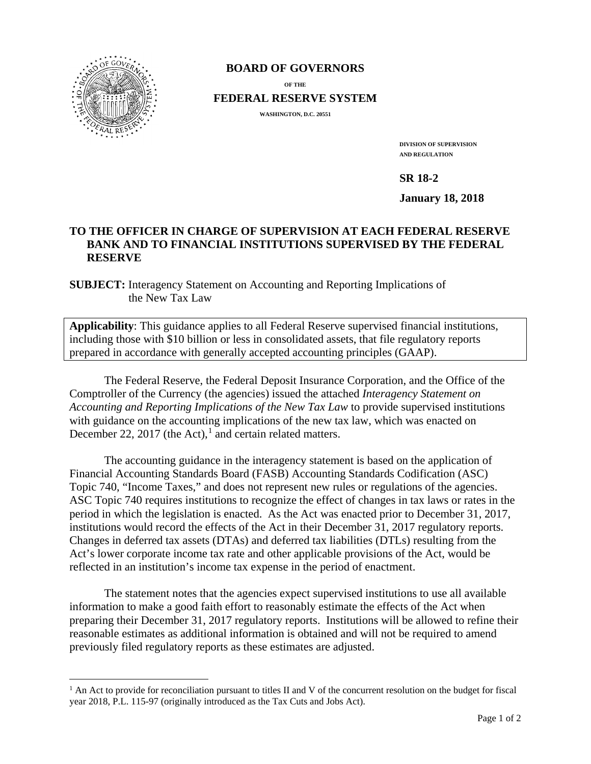

 $\overline{a}$ 

# **BOARD OF GOVERNORS**

**OF THE**

**FEDERAL RESERVE SYSTEM**

**WASHINGTON, D.C. 20551** 

**DIVISION OF SUPERVISION AND REGULATION**

**SR 18-2** 

**January 18, 2018** 

## **TO THE OFFICER IN CHARGE OF SUPERVISION AT EACH FEDERAL RESERVE BANK AND TO FINANCIAL INSTITUTIONS SUPERVISED BY THE FEDERAL RESERVE**

**SUBJECT:** Interagency Statement on Accounting and Reporting Implications of the New Tax Law

**Applicability**: This guidance applies to all Federal Reserve supervised financial institutions, including those with \$10 billion or less in consolidated assets, that file regulatory reports prepared in accordance with generally accepted accounting principles (GAAP).

The Federal Reserve, the Federal Deposit Insurance Corporation, and the Office of the Comptroller of the Currency (the agencies) issued the attached *Interagency Statement on Accounting and Reporting Implications of the New Tax Law* to provide supervised institutions with guidance on the accounting implications of the new tax law, which was enacted on December 22, 20[1](#page-0-0)7 (the Act),<sup>1</sup> and certain related matters.

The accounting guidance in the interagency statement is based on the application of Financial Accounting Standards Board (FASB) Accounting Standards Codification (ASC) Topic 740, "Income Taxes," and does not represent new rules or regulations of the agencies. ASC Topic 740 requires institutions to recognize the effect of changes in tax laws or rates in the period in which the legislation is enacted. As the Act was enacted prior to December 31, 2017, institutions would record the effects of the Act in their December 31, 2017 regulatory reports. Changes in deferred tax assets (DTAs) and deferred tax liabilities (DTLs) resulting from the Act's lower corporate income tax rate and other applicable provisions of the Act, would be reflected in an institution's income tax expense in the period of enactment.

The statement notes that the agencies expect supervised institutions to use all available information to make a good faith effort to reasonably estimate the effects of the Act when preparing their December 31, 2017 regulatory reports. Institutions will be allowed to refine their reasonable estimates as additional information is obtained and will not be required to amend previously filed regulatory reports as these estimates are adjusted.

<span id="page-0-0"></span><sup>&</sup>lt;sup>1</sup> An Act to provide for reconciliation pursuant to titles II and V of the concurrent resolution on the budget for fiscal year 2018, P.L. 115-97 (originally introduced as the Tax Cuts and Jobs Act).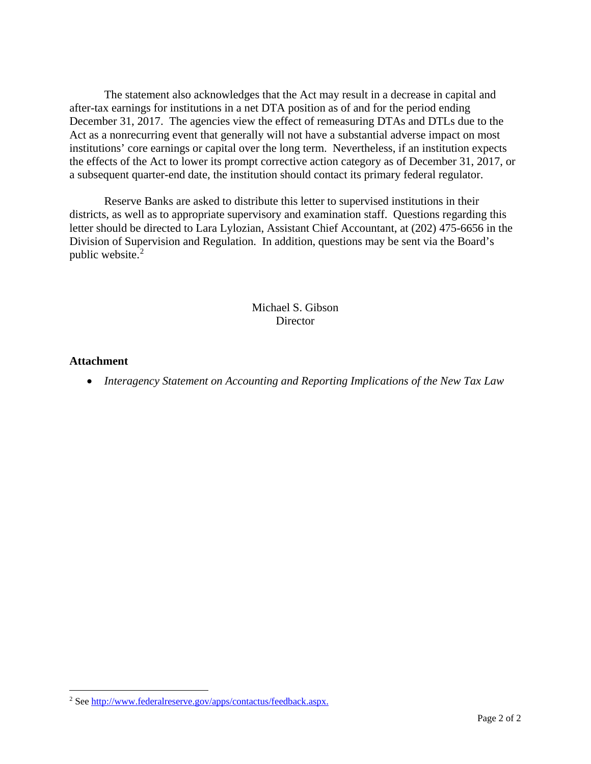The statement also acknowledges that the Act may result in a decrease in capital and after-tax earnings for institutions in a net DTA position as of and for the period ending December 31, 2017. The agencies view the effect of remeasuring DTAs and DTLs due to the Act as a nonrecurring event that generally will not have a substantial adverse impact on most institutions' core earnings or capital over the long term. Nevertheless, if an institution expects the effects of the Act to lower its prompt corrective action category as of December 31, 2017, or a subsequent quarter-end date, the institution should contact its primary federal regulator.

Reserve Banks are asked to distribute this letter to supervised institutions in their districts, as well as to appropriate supervisory and examination staff. Questions regarding this letter should be directed to Lara Lylozian, Assistant Chief Accountant, at (202) 475-6656 in the Division of Supervision and Regulation. In addition, questions may be sent via the Board's public website.<sup>[2](#page-1-0)</sup>

#### Michael S. Gibson **Director**

#### **Attachment**

 $\overline{a}$ 

• *Interagency Statement on Accounting and Reporting Implications of the New Tax Law*

<span id="page-1-0"></span><sup>&</sup>lt;sup>2</sup> Se[e http://www.federalreserve.gov/apps/contactus/feedback.aspx.](http://www.federalreserve.gov/apps/contactus/feedback.aspx)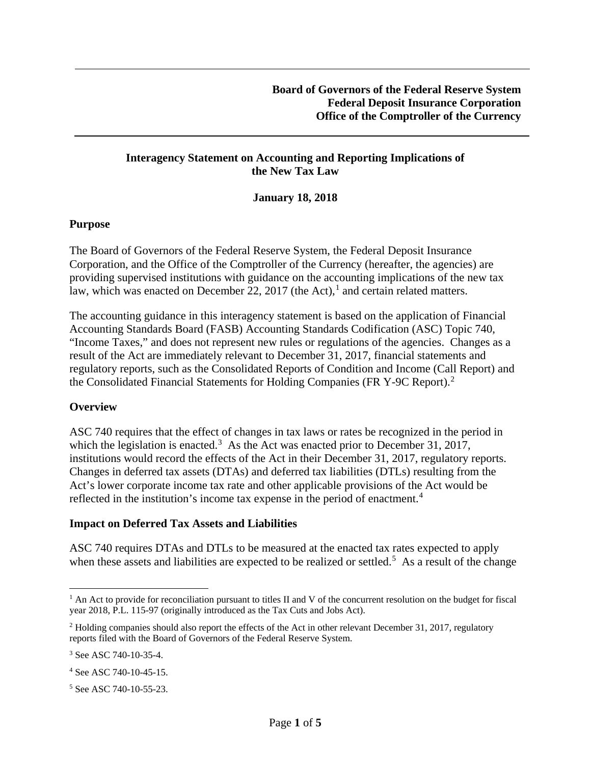### **Interagency Statement on Accounting and Reporting Implications of the New Tax Law**

**January 18, 2018** 

#### **Purpose**

The Board of Governors of the Federal Reserve System, the Federal Deposit Insurance Corporation, and the Office of the Comptroller of the Currency (hereafter, the agencies) are providing supervised institutions with guidance on the accounting implications of the new tax law, which was enacted on December 22, 20[1](#page-2-0)7 (the Act),<sup>1</sup> and certain related matters.

The accounting guidance in this interagency statement is based on the application of Financial Accounting Standards Board (FASB) Accounting Standards Codification (ASC) Topic 740, "Income Taxes," and does not represent new rules or regulations of the agencies. Changes as a result of the Act are immediately relevant to December 31, 2017, financial statements and regulatory reports, such as the Consolidated Reports of Condition and Income (Call Report) and the Consolidated Financial Statements for Holding Companies (FR Y-9C Report).<sup>[2](#page-2-1)</sup>

## **Overview**

ASC 740 requires that the effect of changes in tax laws or rates be recognized in the period in which the legislation is enacted.<sup>[3](#page-2-2)</sup> As the Act was enacted prior to December 31, 2017, institutions would record the effects of the Act in their December 31, 2017, regulatory reports. Changes in deferred tax assets (DTAs) and deferred tax liabilities (DTLs) resulting from the Act's lower corporate income tax rate and other applicable provisions of the Act would be reflected in the institution's income tax expense in the period of enactment.<sup>[4](#page-2-3)</sup>

#### **Impact on Deferred Tax Assets and Liabilities**

ASC 740 requires DTAs and DTLs to be measured at the enacted tax rates expected to apply when these assets and liabilities are expected to be realized or settled.<sup>[5](#page-2-4)</sup> As a result of the change

 $\overline{a}$ 

<span id="page-2-0"></span> $<sup>1</sup>$  An Act to provide for reconciliation pursuant to titles II and V of the concurrent resolution on the budget for fiscal</sup> year 2018, P.L. 115-97 (originally introduced as the Tax Cuts and Jobs Act).

<span id="page-2-1"></span><sup>&</sup>lt;sup>2</sup> Holding companies should also report the effects of the Act in other relevant December 31, 2017, regulatory reports filed with the Board of Governors of the Federal Reserve System.

<span id="page-2-2"></span><sup>3</sup> See ASC 740-10-35-4.

<span id="page-2-3"></span><sup>4</sup> See ASC 740-10-45-15.

<span id="page-2-4"></span><sup>5</sup> See ASC 740-10-55-23.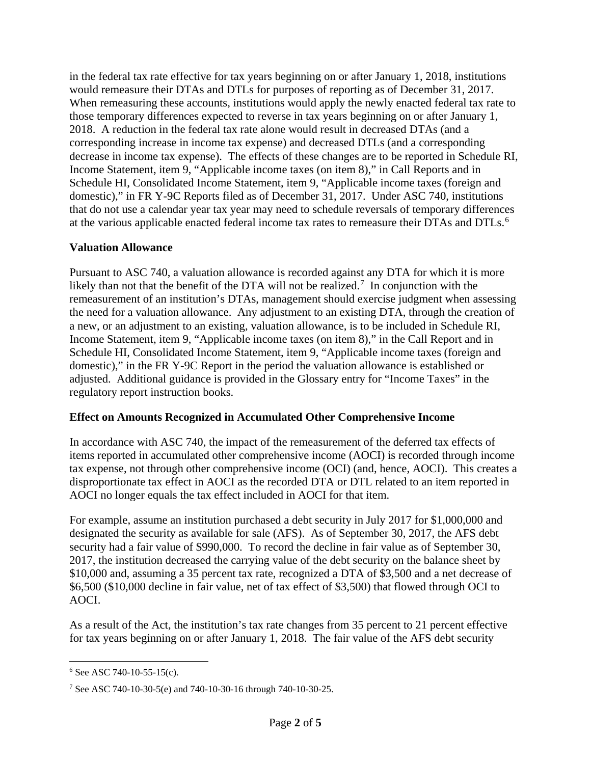in the federal tax rate effective for tax years beginning on or after January 1, 2018, institutions would remeasure their DTAs and DTLs for purposes of reporting as of December 31, 2017. When remeasuring these accounts, institutions would apply the newly enacted federal tax rate to those temporary differences expected to reverse in tax years beginning on or after January 1, 2018. A reduction in the federal tax rate alone would result in decreased DTAs (and a corresponding increase in income tax expense) and decreased DTLs (and a corresponding decrease in income tax expense). The effects of these changes are to be reported in Schedule RI, Income Statement, item 9, "Applicable income taxes (on item 8)," in Call Reports and in Schedule HI, Consolidated Income Statement, item 9, "Applicable income taxes (foreign and domestic)," in FR Y-9C Reports filed as of December 31, 2017. Under ASC 740, institutions that do not use a calendar year tax year may need to schedule reversals of temporary differences at the various applicable enacted federal income tax rates to remeasure their DTAs and DTLs.<sup>[6](#page-3-0)</sup>

## **Valuation Allowance**

Pursuant to ASC 740, a valuation allowance is recorded against any DTA for which it is more likely than not that the benefit of the DTA will not be realized.<sup>[7](#page-3-1)</sup> In conjunction with the remeasurement of an institution's DTAs, management should exercise judgment when assessing the need for a valuation allowance. Any adjustment to an existing DTA, through the creation of a new, or an adjustment to an existing, valuation allowance, is to be included in Schedule RI, Income Statement, item 9, "Applicable income taxes (on item 8)," in the Call Report and in Schedule HI, Consolidated Income Statement, item 9, "Applicable income taxes (foreign and domestic)," in the FR Y-9C Report in the period the valuation allowance is established or adjusted. Additional guidance is provided in the Glossary entry for "Income Taxes" in the regulatory report instruction books.

## **Effect on Amounts Recognized in Accumulated Other Comprehensive Income**

In accordance with ASC 740, the impact of the remeasurement of the deferred tax effects of items reported in accumulated other comprehensive income (AOCI) is recorded through income tax expense, not through other comprehensive income (OCI) (and, hence, AOCI). This creates a disproportionate tax effect in AOCI as the recorded DTA or DTL related to an item reported in AOCI no longer equals the tax effect included in AOCI for that item.

For example, assume an institution purchased a debt security in July 2017 for \$1,000,000 and designated the security as available for sale (AFS). As of September 30, 2017, the AFS debt security had a fair value of \$990,000. To record the decline in fair value as of September 30, 2017, the institution decreased the carrying value of the debt security on the balance sheet by \$10,000 and, assuming a 35 percent tax rate, recognized a DTA of \$3,500 and a net decrease of \$6,500 (\$10,000 decline in fair value, net of tax effect of \$3,500) that flowed through OCI to AOCI.

As a result of the Act, the institution's tax rate changes from 35 percent to 21 percent effective for tax years beginning on or after January 1, 2018. The fair value of the AFS debt security

<span id="page-3-0"></span> $\overline{a}$  $6$  See ASC 740-10-55-15(c).

<span id="page-3-1"></span><sup>7</sup> See ASC 740-10-30-5(e) and 740-10-30-16 through 740-10-30-25.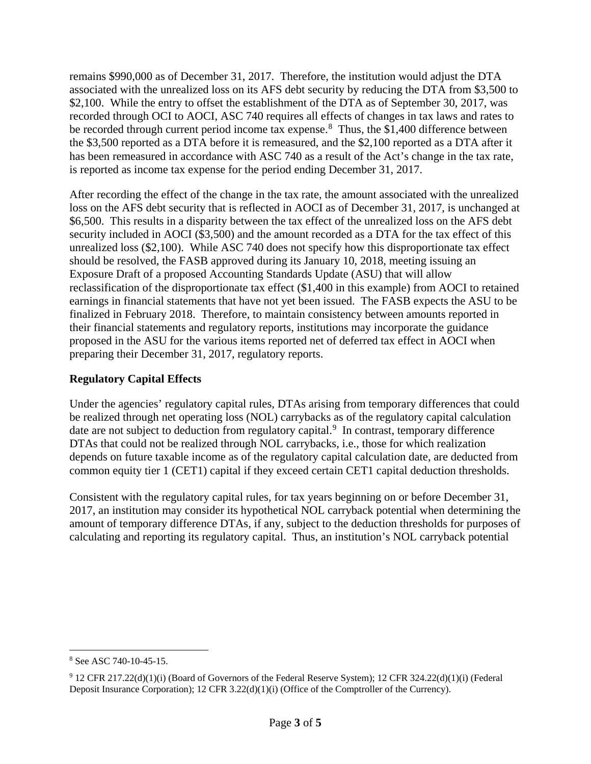remains \$990,000 as of December 31, 2017. Therefore, the institution would adjust the DTA associated with the unrealized loss on its AFS debt security by reducing the DTA from \$3,500 to \$2,100. While the entry to offset the establishment of the DTA as of September 30, 2017, was recorded through OCI to AOCI, ASC 740 requires all effects of changes in tax laws and rates to be recorded through current period income tax expense.<sup>[8](#page-4-0)</sup> Thus, the \$1,400 difference between the \$3,500 reported as a DTA before it is remeasured, and the \$2,100 reported as a DTA after it has been remeasured in accordance with ASC 740 as a result of the Act's change in the tax rate, is reported as income tax expense for the period ending December 31, 2017.

After recording the effect of the change in the tax rate, the amount associated with the unrealized loss on the AFS debt security that is reflected in AOCI as of December 31, 2017, is unchanged at \$6,500. This results in a disparity between the tax effect of the unrealized loss on the AFS debt security included in AOCI (\$3,500) and the amount recorded as a DTA for the tax effect of this unrealized loss (\$2,100). While ASC 740 does not specify how this disproportionate tax effect should be resolved, the FASB approved during its January 10, 2018, meeting issuing an Exposure Draft of a proposed Accounting Standards Update (ASU) that will allow reclassification of the disproportionate tax effect (\$1,400 in this example) from AOCI to retained earnings in financial statements that have not yet been issued. The FASB expects the ASU to be finalized in February 2018. Therefore, to maintain consistency between amounts reported in their financial statements and regulatory reports, institutions may incorporate the guidance proposed in the ASU for the various items reported net of deferred tax effect in AOCI when preparing their December 31, 2017, regulatory reports.

## **Regulatory Capital Effects**

Under the agencies' regulatory capital rules, DTAs arising from temporary differences that could be realized through net operating loss (NOL) carrybacks as of the regulatory capital calculation date are not subject to deduction from regulatory capital.<sup>[9](#page-4-1)</sup> In contrast, temporary difference DTAs that could not be realized through NOL carrybacks, i.e., those for which realization depends on future taxable income as of the regulatory capital calculation date, are deducted from common equity tier 1 (CET1) capital if they exceed certain CET1 capital deduction thresholds.

Consistent with the regulatory capital rules, for tax years beginning on or before December 31, 2017, an institution may consider its hypothetical NOL carryback potential when determining the amount of temporary difference DTAs, if any, subject to the deduction thresholds for purposes of calculating and reporting its regulatory capital. Thus, an institution's NOL carryback potential

<span id="page-4-0"></span> $\overline{a}$ <sup>8</sup> See ASC 740-10-45-15.

<span id="page-4-1"></span><sup>9</sup> 12 CFR 217.22(d)(1)(i) (Board of Governors of the Federal Reserve System); 12 CFR 324.22(d)(1)(i) (Federal Deposit Insurance Corporation); 12 CFR 3.22(d)(1)(i) (Office of the Comptroller of the Currency).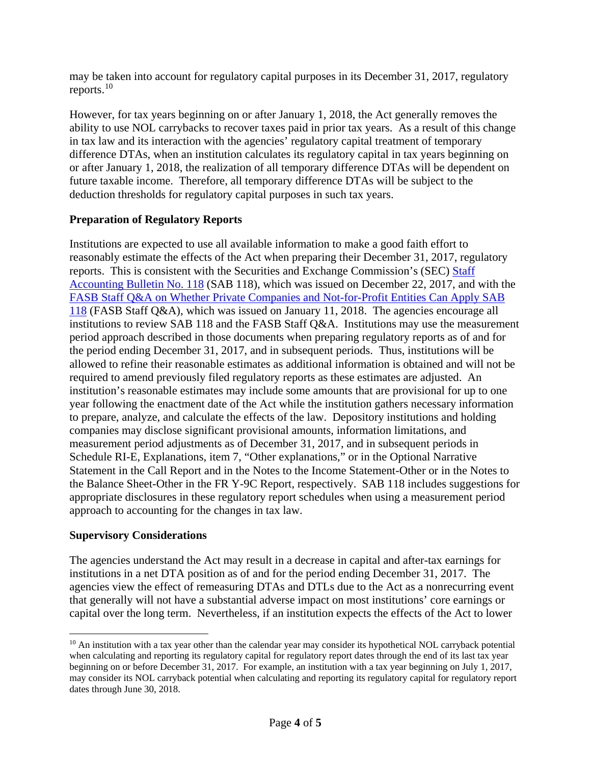may be taken into account for regulatory capital purposes in its December 31, 2017, regulatory reports. $10$ 

However, for tax years beginning on or after January 1, 2018, the Act generally removes the ability to use NOL carrybacks to recover taxes paid in prior tax years. As a result of this change in tax law and its interaction with the agencies' regulatory capital treatment of temporary difference DTAs, when an institution calculates its regulatory capital in tax years beginning on or after January 1, 2018, the realization of all temporary difference DTAs will be dependent on future taxable income. Therefore, all temporary difference DTAs will be subject to the deduction thresholds for regulatory capital purposes in such tax years.

## **Preparation of Regulatory Reports**

Institutions are expected to use all available information to make a good faith effort to reasonably estimate the effects of the Act when preparing their December 31, 2017, regulatory reports. This is consistent with the Securities and Exchange Commission's (SEC) [Staff](https://www.sec.gov/interps/account/staff-accounting-bulletin-118.htm)  [Accounting Bulletin No. 118](https://www.sec.gov/interps/account/staff-accounting-bulletin-118.htm) (SAB 118), which was issued on December 22, 2017, and with the [FASB Staff Q&A on Whether Private Companies and Not-for-Profit Entities Can Apply SAB](http://www.fasb.org/cs/ContentServer?c=FASBContent_C&cid=1176169777449&d=&pagename=FASB%2FFASBContent_C%2FGeneralContentDisplay)  [118](http://www.fasb.org/cs/ContentServer?c=FASBContent_C&cid=1176169777449&d=&pagename=FASB%2FFASBContent_C%2FGeneralContentDisplay) (FASB Staff Q&A), which was issued on January 11, 2018. The agencies encourage all institutions to review SAB 118 and the FASB Staff Q&A. Institutions may use the measurement period approach described in those documents when preparing regulatory reports as of and for the period ending December 31, 2017, and in subsequent periods. Thus, institutions will be allowed to refine their reasonable estimates as additional information is obtained and will not be required to amend previously filed regulatory reports as these estimates are adjusted. An institution's reasonable estimates may include some amounts that are provisional for up to one year following the enactment date of the Act while the institution gathers necessary information to prepare, analyze, and calculate the effects of the law. Depository institutions and holding companies may disclose significant provisional amounts, information limitations, and measurement period adjustments as of December 31, 2017, and in subsequent periods in Schedule RI-E, Explanations, item 7, "Other explanations," or in the Optional Narrative Statement in the Call Report and in the Notes to the Income Statement-Other or in the Notes to the Balance Sheet-Other in the FR Y-9C Report, respectively. SAB 118 includes suggestions for appropriate disclosures in these regulatory report schedules when using a measurement period approach to accounting for the changes in tax law.

## **Supervisory Considerations**

 $\overline{a}$ 

The agencies understand the Act may result in a decrease in capital and after-tax earnings for institutions in a net DTA position as of and for the period ending December 31, 2017. The agencies view the effect of remeasuring DTAs and DTLs due to the Act as a nonrecurring event that generally will not have a substantial adverse impact on most institutions' core earnings or capital over the long term. Nevertheless, if an institution expects the effects of the Act to lower

<span id="page-5-0"></span><sup>&</sup>lt;sup>10</sup> An institution with a tax year other than the calendar year may consider its hypothetical NOL carryback potential when calculating and reporting its regulatory capital for regulatory report dates through the end of its last tax year beginning on or before December 31, 2017. For example, an institution with a tax year beginning on July 1, 2017, may consider its NOL carryback potential when calculating and reporting its regulatory capital for regulatory report dates through June 30, 2018.